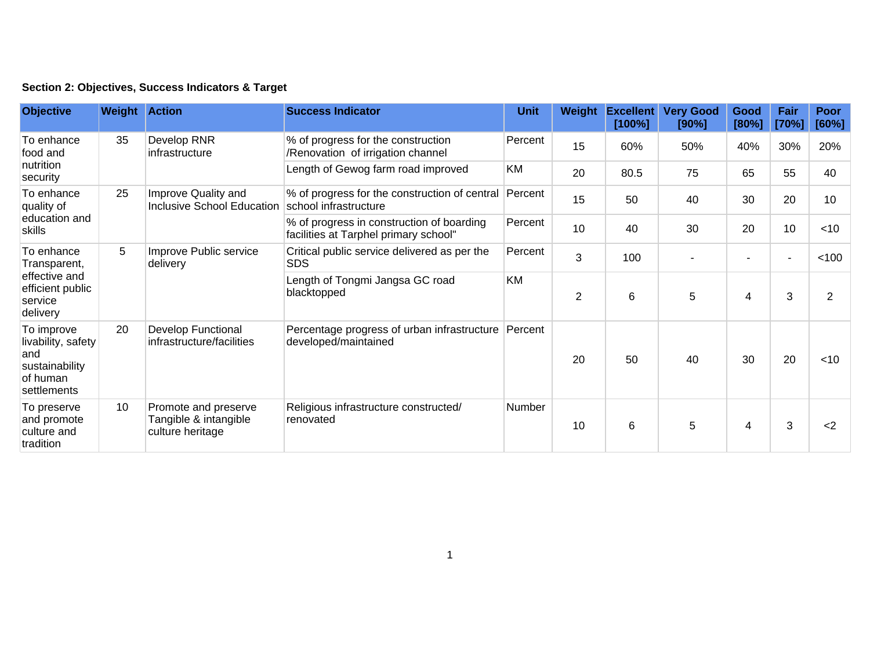| Section 2: Objectives, Success Indicators & Target |  |  |  |  |  |  |
|----------------------------------------------------|--|--|--|--|--|--|
|----------------------------------------------------|--|--|--|--|--|--|

| <b>Objective</b>                                                                       | <b>Weight Action</b> |                                                                   | <b>Success Indicator</b>                                                           | <b>Unit</b>   | Weight | <b>Excellent</b><br>[100%] | <b>Very Good</b><br>[90%] | Good<br>[80%]  | Fair<br>[70%]  | Poor<br>[60%] |
|----------------------------------------------------------------------------------------|----------------------|-------------------------------------------------------------------|------------------------------------------------------------------------------------|---------------|--------|----------------------------|---------------------------|----------------|----------------|---------------|
| To enhance<br>food and<br>nutrition<br>security                                        | 35                   | Develop RNR<br>infrastructure                                     | % of progress for the construction<br>/Renovation of irrigation channel            | Percent       | 15     | 60%                        | 50%                       | 40%            | 30%            | 20%           |
|                                                                                        |                      |                                                                   | Length of Gewog farm road improved                                                 | KM            | 20     | 80.5                       | 75                        | 65             | 55             | 40            |
| To enhance<br>quality of<br>education and<br>skills                                    | 25                   | Improve Quality and<br><b>Inclusive School Education</b>          | % of progress for the construction of central<br>school infrastructure             | Percent       | 15     | 50                         | 40                        | 30             | 20             | 10            |
|                                                                                        |                      |                                                                   | % of progress in construction of boarding<br>facilities at Tarphel primary school" | Percent       | 10     | 40                         | 30                        | 20             | 10             | $<$ 10        |
| To enhance<br>Transparent,<br>effective and<br>efficient public<br>service<br>delivery | 5                    | Improve Public service<br>delivery                                | Critical public service delivered as per the<br><b>SDS</b>                         | Percent       | 3      | 100                        |                           | $\overline{a}$ | $\overline{a}$ | < 100         |
|                                                                                        |                      |                                                                   | Length of Tongmi Jangsa GC road<br>blacktopped                                     | KM            | 2      | 6                          | 5                         | 4              | 3              | 2             |
| To improve<br>livability, safety<br>and<br>sustainability<br>of human<br>settlements   | 20                   | <b>Develop Functional</b><br>infrastructure/facilities            | Percentage progress of urban infrastructure Percent<br>developed/maintained        |               | 20     | 50                         | 40                        | 30             | 20             | $<$ 10        |
| To preserve<br>and promote<br>culture and<br>tradition                                 | 10                   | Promote and preserve<br>Tangible & intangible<br>culture heritage | Religious infrastructure constructed/<br>renovated                                 | <b>Number</b> | 10     | 6                          | 5                         | 4              | 3              | $2$           |